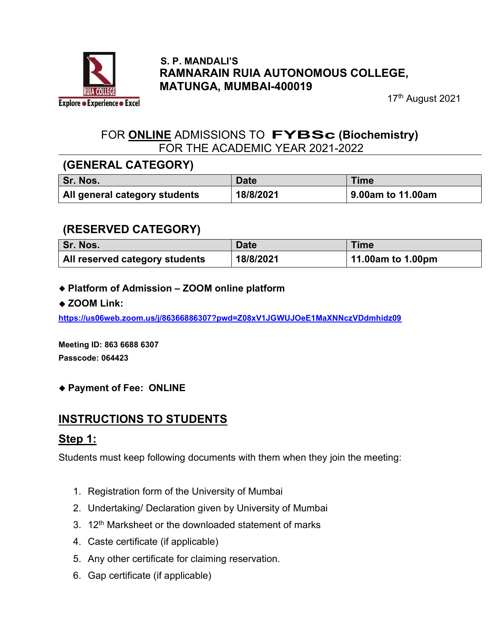

#### S. P. MANDALI'S RAMNARAIN RUIA AUTONOMOUS COLLEGE, MATUNGA, MUMBAI-400019

17<sup>th</sup> August 2021

### FOR ONLINE ADMISSIONS TO FYBSc (Biochemistry) FOR THE ACADEMIC YEAR 2021-2022

### (GENERAL CATEGORY)

| <b>Sr. Nos.</b>               | <b>Date</b> | Time              |
|-------------------------------|-------------|-------------------|
| All general category students | 18/8/2021   | 9.00am to 11.00am |

## (RESERVED CATEGORY)

| Sr. Nos.                              | <b>Date</b> | Time              |
|---------------------------------------|-------------|-------------------|
| <b>All reserved category students</b> | 18/8/2021   | 11.00am to 1.00pm |

Platform of Admission – ZOOM online platform

#### ◆ ZOOM Link:

https://us06web.zoom.us/j/86366886307?pwd=Z08xV1JGWUJOeE1MaXNNczVDdmhidz09

Meeting ID: 863 6688 6307 Passcode: 064423

#### Payment of Fee: ONLINE

## INSTRUCTIONS TO STUDENTS

### Step 1:

Students must keep following documents with them when they join the meeting:

- 1. Registration form of the University of Mumbai
- 2. Undertaking/ Declaration given by University of Mumbai
- 3. 12<sup>th</sup> Marksheet or the downloaded statement of marks
- 4. Caste certificate (if applicable)
- 5. Any other certificate for claiming reservation.
- 6. Gap certificate (if applicable)